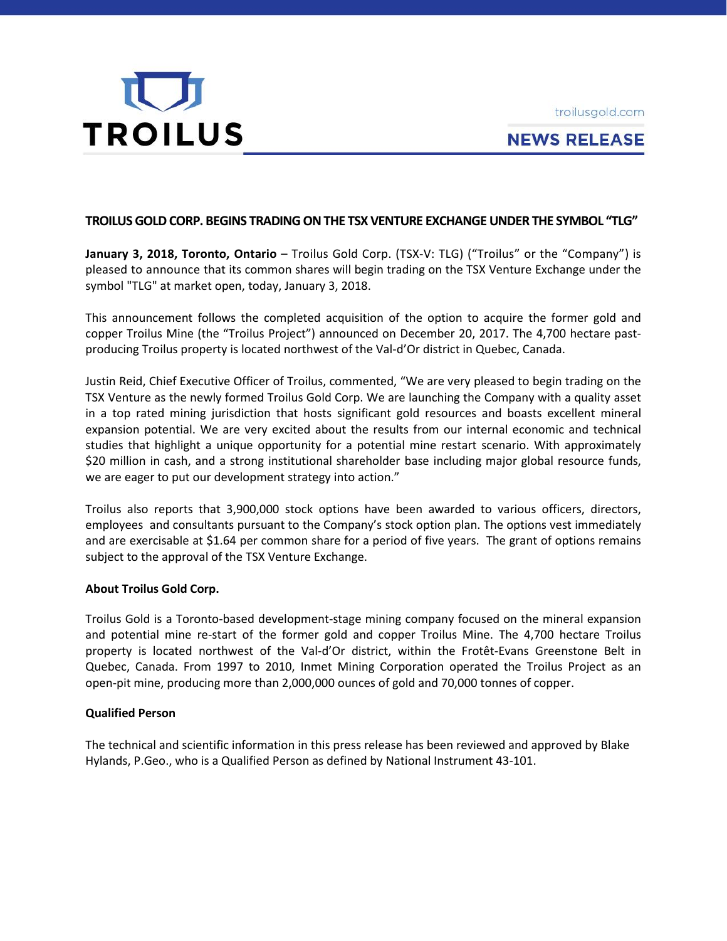troilusgold.com



# **NEWS RELEASE**

## **TROILUSGOLDCORP. BEGINS TRADINGONTHE TSX VENTURE EXCHANGEUNDER THE SYMBOL "TLG"**

**January 3, 2018, Toronto, Ontario** – Troilus Gold Corp. (TSX-V: TLG) ("Troilus" or the "Company") is pleased to announce that its common shares will begin trading on the TSX Venture Exchange under the symbol "TLG" at market open, today, January 3, 2018.

This announcement follows the completed acquisition of the option to acquire the former gold and copper Troilus Mine (the "Troilus Project") announced on December 20, 2017. The 4,700 hectare pastproducing Troilus property is located northwest of the Val-d'Or district in Quebec, Canada.

Justin Reid, Chief Executive Officer of Troilus, commented, "We are very pleased to begin trading on the TSX Venture as the newly formed Troilus Gold Corp. We are launching the Company with a quality asset in a top rated mining jurisdiction that hosts significant gold resources and boasts excellent mineral expansion potential. We are very excited about the results from our internal economic and technical studies that highlight a unique opportunity for a potential mine restart scenario. With approximately \$20 million in cash, and a strong institutional shareholder base including major global resource funds, we are eager to put our development strategy into action."

Troilus also reports that 3,900,000 stock options have been awarded to various officers, directors, employees and consultants pursuant to the Company's stock option plan. The options vest immediately and are exercisable at \$1.64 per common share for a period of five years. The grant of options remains subject to the approval of the TSX Venture Exchange.

#### **About Troilus Gold Corp.**

Troilus Gold is a Toronto-based development-stage mining company focused on the mineral expansion and potential mine re-start of the former gold and copper Troilus Mine. The 4,700 hectare Troilus property is located northwest of the Val-d'Or district, within the Frotêt-Evans Greenstone Belt in Quebec, Canada. From 1997 to 2010, Inmet Mining Corporation operated the Troilus Project as an open‐pit mine, producing more than 2,000,000 ounces of gold and 70,000 tonnes of copper.

#### **Qualified Person**

The technical and scientific information in this press release has been reviewed and approved by Blake Hylands, P.Geo., who is a Qualified Person as defined by National Instrument 43-101.